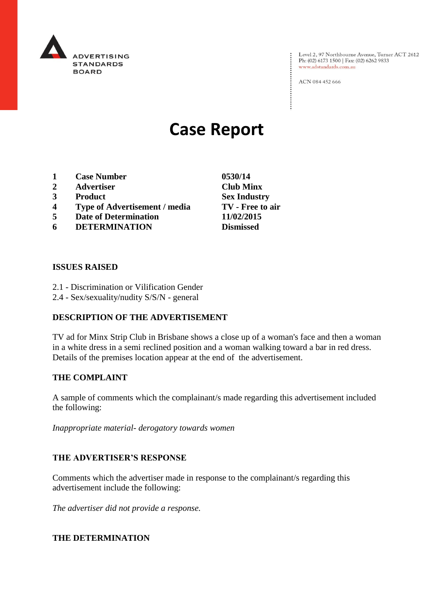

Level 2, 97 Northbourne Avenue, Turner ACT 2612<br>Ph: (02) 6173 1500 | Fax: (02) 6262 9833 www.adstandards.com.au

ACN 084 452 666

# **Case Report**

- **1 Case Number 0530/14**
- **2 Advertiser Club Minx**
- **3 Product Sex Industry**
- **4 Type of Advertisement / media TV - Free to air**
- **5 Date of Determination 11/02/2015**
- **6 DETERMINATION Dismissed**

### **ISSUES RAISED**

- 2.1 Discrimination or Vilification Gender
- 2.4 Sex/sexuality/nudity S/S/N general

## **DESCRIPTION OF THE ADVERTISEMENT**

TV ad for Minx Strip Club in Brisbane shows a close up of a woman's face and then a woman in a white dress in a semi reclined position and a woman walking toward a bar in red dress. Details of the premises location appear at the end of the advertisement.

### **THE COMPLAINT**

A sample of comments which the complainant/s made regarding this advertisement included the following:

*Inappropriate material- derogatory towards women*

### **THE ADVERTISER'S RESPONSE**

Comments which the advertiser made in response to the complainant/s regarding this advertisement include the following:

*The advertiser did not provide a response.*

### **THE DETERMINATION**